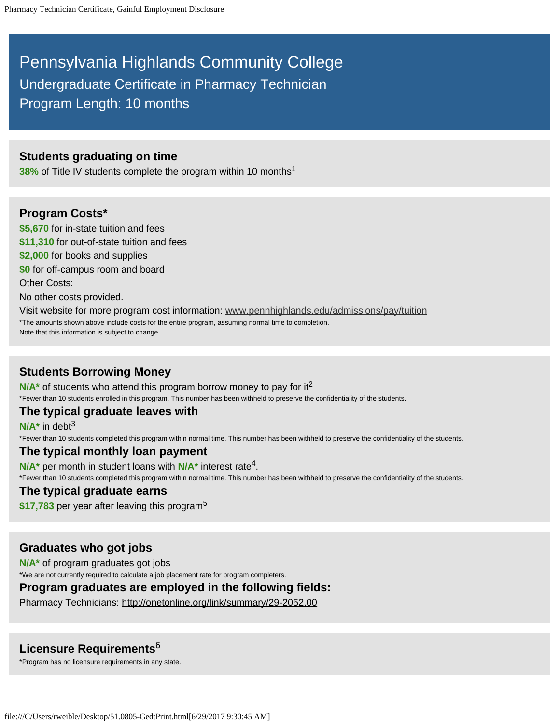# Pennsylvania Highlands Community College Undergraduate Certificate in Pharmacy Technician Program Length: 10 months

### **Students graduating on time**

**38%** of Title IV students complete the program within 10 months<sup>1</sup>

#### **Program Costs\***

**\$5,670** for in-state tuition and fees **\$11,310** for out-of-state tuition and fees **\$2,000** for books and supplies **\$0** for off-campus room and board Other Costs: No other costs provided. Visit website for more program cost information: www.pennhighlands.edu/admissions/pay/tuition \*The amounts shown above include costs for the entire program, assuming normal time to completion.

Note that this information is subject to change.

# **Students Borrowing Money**

N/A<sup>\*</sup> of students who attend this program borrow money to pay for it<sup>2</sup> \*Fewer than 10 students enrolled in this program. This number has been withheld to preserve the confidentiality of the students.

## **The typical graduate leaves with**

**N/A\*** in debt 3

\*Fewer than 10 students completed this program within normal time. This number has been withheld to preserve the confidentiality of the students.

#### **The typical monthly loan payment**

N/A<sup>\*</sup> per month in student loans with N/A<sup>\*</sup> interest rate<sup>4</sup>.

\*Fewer than 10 students completed this program within normal time. This number has been withheld to preserve the confidentiality of the students.

#### **The typical graduate earns**

**\$17,783** per year after leaving this program 5

## **Graduates who got jobs**

**N/A\*** of program graduates got jobs \*We are not currently required to calculate a job placement rate for program completers.

#### **Program graduates are employed in the following fields:**

Pharmacy Technicians: http://onetonline.org/link/summary/29-2052.00

# **Licensure Requirements** 6

\*Program has no licensure requirements in any state.